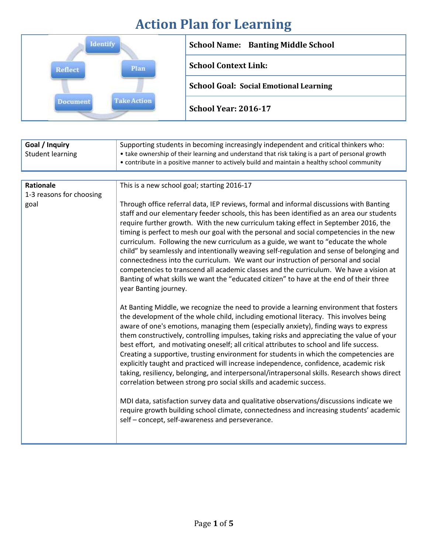## **Action Plan for Learning**

|                        | <b>School Name: Banting Middle School</b>     |
|------------------------|-----------------------------------------------|
| Plan<br><b>Reflect</b> | <b>School Context Link:</b>                   |
|                        | <b>School Goal: Social Emotional Learning</b> |
|                        | <b>School Year: 2016-17</b>                   |

| Goal / Inquiry           | Supporting students in becoming increasingly independent and critical thinkers who:                                                                                                                                                                                                                                                                                                                                                                                                                                                                                                                                                                                                                                                                                                                                                                                                                                                                                                                                                                                                                                                                                                                                                                                                                                                                                                                                                                                                                                                                                                                                                                                                                                                                                                                                                                                                                                                    |
|--------------------------|----------------------------------------------------------------------------------------------------------------------------------------------------------------------------------------------------------------------------------------------------------------------------------------------------------------------------------------------------------------------------------------------------------------------------------------------------------------------------------------------------------------------------------------------------------------------------------------------------------------------------------------------------------------------------------------------------------------------------------------------------------------------------------------------------------------------------------------------------------------------------------------------------------------------------------------------------------------------------------------------------------------------------------------------------------------------------------------------------------------------------------------------------------------------------------------------------------------------------------------------------------------------------------------------------------------------------------------------------------------------------------------------------------------------------------------------------------------------------------------------------------------------------------------------------------------------------------------------------------------------------------------------------------------------------------------------------------------------------------------------------------------------------------------------------------------------------------------------------------------------------------------------------------------------------------------|
| <b>Student learning</b>  | • take ownership of their learning and understand that risk taking is a part of personal growth<br>• contribute in a positive manner to actively build and maintain a healthy school community                                                                                                                                                                                                                                                                                                                                                                                                                                                                                                                                                                                                                                                                                                                                                                                                                                                                                                                                                                                                                                                                                                                                                                                                                                                                                                                                                                                                                                                                                                                                                                                                                                                                                                                                         |
|                          |                                                                                                                                                                                                                                                                                                                                                                                                                                                                                                                                                                                                                                                                                                                                                                                                                                                                                                                                                                                                                                                                                                                                                                                                                                                                                                                                                                                                                                                                                                                                                                                                                                                                                                                                                                                                                                                                                                                                        |
| Rationale                | This is a new school goal; starting 2016-17                                                                                                                                                                                                                                                                                                                                                                                                                                                                                                                                                                                                                                                                                                                                                                                                                                                                                                                                                                                                                                                                                                                                                                                                                                                                                                                                                                                                                                                                                                                                                                                                                                                                                                                                                                                                                                                                                            |
| 1-3 reasons for choosing |                                                                                                                                                                                                                                                                                                                                                                                                                                                                                                                                                                                                                                                                                                                                                                                                                                                                                                                                                                                                                                                                                                                                                                                                                                                                                                                                                                                                                                                                                                                                                                                                                                                                                                                                                                                                                                                                                                                                        |
| goal                     | Through office referral data, IEP reviews, formal and informal discussions with Banting<br>staff and our elementary feeder schools, this has been identified as an area our students<br>require further growth. With the new curriculum taking effect in September 2016, the<br>timing is perfect to mesh our goal with the personal and social competencies in the new<br>curriculum. Following the new curriculum as a guide, we want to "educate the whole<br>child" by seamlessly and intentionally weaving self-regulation and sense of belonging and<br>connectedness into the curriculum. We want our instruction of personal and social<br>competencies to transcend all academic classes and the curriculum. We have a vision at<br>Banting of what skills we want the "educated citizen" to have at the end of their three<br>year Banting journey.<br>At Banting Middle, we recognize the need to provide a learning environment that fosters<br>the development of the whole child, including emotional literacy. This involves being<br>aware of one's emotions, managing them (especially anxiety), finding ways to express<br>them constructively, controlling impulses, taking risks and appreciating the value of your<br>best effort, and motivating oneself; all critical attributes to school and life success.<br>Creating a supportive, trusting environment for students in which the competencies are<br>explicitly taught and practiced will increase independence, confidence, academic risk<br>taking, resiliency, belonging, and interpersonal/intrapersonal skills. Research shows direct<br>correlation between strong pro social skills and academic success.<br>MDI data, satisfaction survey data and qualitative observations/discussions indicate we<br>require growth building school climate, connectedness and increasing students' academic<br>self - concept, self-awareness and perseverance. |
|                          |                                                                                                                                                                                                                                                                                                                                                                                                                                                                                                                                                                                                                                                                                                                                                                                                                                                                                                                                                                                                                                                                                                                                                                                                                                                                                                                                                                                                                                                                                                                                                                                                                                                                                                                                                                                                                                                                                                                                        |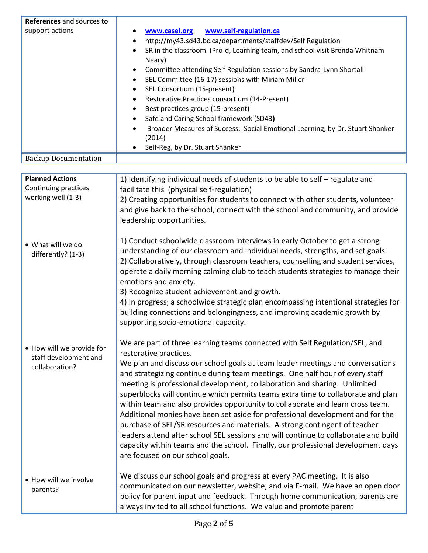| References and sources to                                            |                                                                                                                                                                                                                                                                                                                                                                                                                                                                                                                                                                                                                                                                                                                                                                                                                                                                                                           |
|----------------------------------------------------------------------|-----------------------------------------------------------------------------------------------------------------------------------------------------------------------------------------------------------------------------------------------------------------------------------------------------------------------------------------------------------------------------------------------------------------------------------------------------------------------------------------------------------------------------------------------------------------------------------------------------------------------------------------------------------------------------------------------------------------------------------------------------------------------------------------------------------------------------------------------------------------------------------------------------------|
| support actions                                                      | www.casel.org<br>www.self-regulation.ca<br>http://my43.sd43.bc.ca/departments/staffdev/Self Regulation<br>٠<br>SR in the classroom (Pro-d, Learning team, and school visit Brenda Whitnam<br>Neary)<br>Committee attending Self Regulation sessions by Sandra-Lynn Shortall<br>٠<br>SEL Committee (16-17) sessions with Miriam Miller<br>$\bullet$<br>SEL Consortium (15-present)<br>$\bullet$<br>Restorative Practices consortium (14-Present)<br>٠<br>Best practices group (15-present)<br>$\bullet$<br>Safe and Caring School framework (SD43)<br>$\bullet$<br>Broader Measures of Success: Social Emotional Learning, by Dr. Stuart Shanker<br>(2014)<br>Self-Reg, by Dr. Stuart Shanker                                                                                                                                                                                                              |
| <b>Backup Documentation</b>                                          |                                                                                                                                                                                                                                                                                                                                                                                                                                                                                                                                                                                                                                                                                                                                                                                                                                                                                                           |
| <b>Planned Actions</b><br>Continuing practices<br>working well (1-3) | 1) Identifying individual needs of students to be able to self - regulate and<br>facilitate this (physical self-regulation)<br>2) Creating opportunities for students to connect with other students, volunteer<br>and give back to the school, connect with the school and community, and provide<br>leadership opportunities.                                                                                                                                                                                                                                                                                                                                                                                                                                                                                                                                                                           |
| • What will we do<br>differently? (1-3)                              | 1) Conduct schoolwide classroom interviews in early October to get a strong<br>understanding of our classroom and individual needs, strengths, and set goals.<br>2) Collaboratively, through classroom teachers, counselling and student services,<br>operate a daily morning calming club to teach students strategies to manage their<br>emotions and anxiety.<br>3) Recognize student achievement and growth.<br>4) In progress; a schoolwide strategic plan encompassing intentional strategies for<br>building connections and belongingness, and improving academic growth by<br>supporting socio-emotional capacity.                                                                                                                                                                                                                                                                               |
| • How will we provide for<br>staff development and<br>collaboration? | We are part of three learning teams connected with Self Regulation/SEL, and<br>restorative practices.<br>We plan and discuss our school goals at team leader meetings and conversations<br>and strategizing continue during team meetings. One half hour of every staff<br>meeting is professional development, collaboration and sharing. Unlimited<br>superblocks will continue which permits teams extra time to collaborate and plan<br>within team and also provides opportunity to collaborate and learn cross team.<br>Additional monies have been set aside for professional development and for the<br>purchase of SEL/SR resources and materials. A strong contingent of teacher<br>leaders attend after school SEL sessions and will continue to collaborate and build<br>capacity within teams and the school. Finally, our professional development days<br>are focused on our school goals. |
| • How will we involve<br>parents?                                    | We discuss our school goals and progress at every PAC meeting. It is also<br>communicated on our newsletter, website, and via E-mail. We have an open door<br>policy for parent input and feedback. Through home communication, parents are<br>always invited to all school functions. We value and promote parent                                                                                                                                                                                                                                                                                                                                                                                                                                                                                                                                                                                        |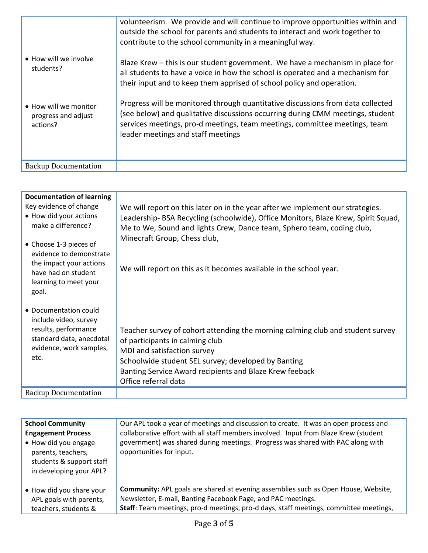| • How will we involve<br>students?<br>• How will we monitor<br>progress and adjust<br>actions? | volunteerism. We provide and will continue to improve opportunities within and<br>outside the school for parents and students to interact and work together to<br>contribute to the school community in a meaningful way.<br>Blaze Krew – this is our student government. We have a mechanism in place for<br>all students to have a voice in how the school is operated and a mechanism for<br>their input and to keep them apprised of school policy and operation.<br>Progress will be monitored through quantitative discussions from data collected<br>(see below) and qualitative discussions occurring during CMM meetings, student<br>services meetings, pro-d meetings, team meetings, committee meetings, team<br>leader meetings and staff meetings |
|------------------------------------------------------------------------------------------------|----------------------------------------------------------------------------------------------------------------------------------------------------------------------------------------------------------------------------------------------------------------------------------------------------------------------------------------------------------------------------------------------------------------------------------------------------------------------------------------------------------------------------------------------------------------------------------------------------------------------------------------------------------------------------------------------------------------------------------------------------------------|
| <b>Backup Documentation</b>                                                                    |                                                                                                                                                                                                                                                                                                                                                                                                                                                                                                                                                                                                                                                                                                                                                                |

| <b>Documentation of learning</b><br>Key evidence of change<br>• How did your actions<br>make a difference?                            | We will report on this later on in the year after we implement our strategies.<br>Leadership- BSA Recycling (schoolwide), Office Monitors, Blaze Krew, Spirit Squad,<br>Me to We, Sound and lights Crew, Dance team, Sphero team, coding club,                                             |
|---------------------------------------------------------------------------------------------------------------------------------------|--------------------------------------------------------------------------------------------------------------------------------------------------------------------------------------------------------------------------------------------------------------------------------------------|
| • Choose 1-3 pieces of<br>evidence to demonstrate<br>the impact your actions<br>have had on student<br>learning to meet your<br>goal. | Minecraft Group, Chess club,<br>We will report on this as it becomes available in the school year.                                                                                                                                                                                         |
| • Documentation could<br>include video, survey<br>results, performance<br>standard data, anecdotal<br>evidence, work samples,<br>etc. | Teacher survey of cohort attending the morning calming club and student survey<br>of participants in calming club<br>MDI and satisfaction survey<br>Schoolwide student SEL survey; developed by Banting<br>Banting Service Award recipients and Blaze Krew feeback<br>Office referral data |
| <b>Backup Documentation</b>                                                                                                           |                                                                                                                                                                                                                                                                                            |

| <b>School Community</b><br><b>Engagement Process</b><br>• How did you engage<br>parents, teachers,<br>students & support staff<br>in developing your APL? | Our APL took a year of meetings and discussion to create. It was an open process and<br>collaborative effort with all staff members involved. Input from Blaze Krew (student<br>government) was shared during meetings. Progress was shared with PAC along with<br>opportunities for input. |
|-----------------------------------------------------------------------------------------------------------------------------------------------------------|---------------------------------------------------------------------------------------------------------------------------------------------------------------------------------------------------------------------------------------------------------------------------------------------|
| • How did you share your<br>APL goals with parents,<br>teachers, students &                                                                               | Community: APL goals are shared at evening assemblies such as Open House, Website,<br>Newsletter, E-mail, Banting Facebook Page, and PAC meetings.<br>Staff: Team meetings, pro-d meetings, pro-d days, staff meetings, committee meetings,                                                 |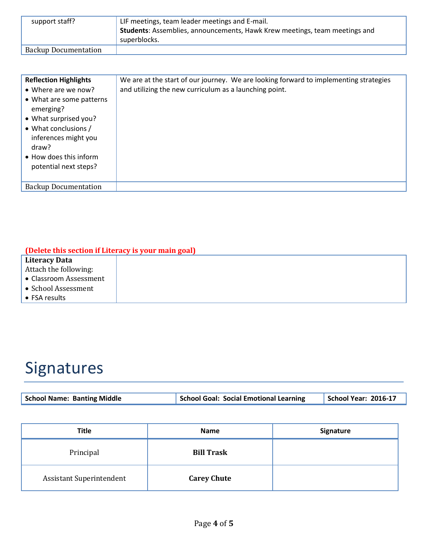| support staff?              | LIF meetings, team leader meetings and E-mail.                             |
|-----------------------------|----------------------------------------------------------------------------|
|                             | Students: Assemblies, announcements, Hawk Krew meetings, team meetings and |
|                             | superblocks.                                                               |
| <b>Backup Documentation</b> |                                                                            |

| <b>Reflection Highlights</b><br>• Where are we now?<br>• What are some patterns<br>emerging?<br>• What surprised you?<br>• What conclusions /<br>inferences might you<br>draw?<br>• How does this inform<br>potential next steps? | We are at the start of our journey. We are looking forward to implementing strategies<br>and utilizing the new curriculum as a launching point. |
|-----------------------------------------------------------------------------------------------------------------------------------------------------------------------------------------------------------------------------------|-------------------------------------------------------------------------------------------------------------------------------------------------|
| <b>Backup Documentation</b>                                                                                                                                                                                                       |                                                                                                                                                 |

## **(Delete this section if Literacy is your main goal)**

| Literacy Data          |  |  |
|------------------------|--|--|
| Attach the following:  |  |  |
| • Classroom Assessment |  |  |
| • School Assessment    |  |  |
| $\bullet$ FSA results  |  |  |

## Signatures

| <b>School Name: Banting Middle</b> | School Goal: Social Emotional Learning | School Year: 2016-17 |
|------------------------------------|----------------------------------------|----------------------|
|                                    |                                        |                      |

| <b>Title</b>             | <b>Name</b>        | Signature |
|--------------------------|--------------------|-----------|
| Principal                | <b>Bill Trask</b>  |           |
| Assistant Superintendent | <b>Carey Chute</b> |           |